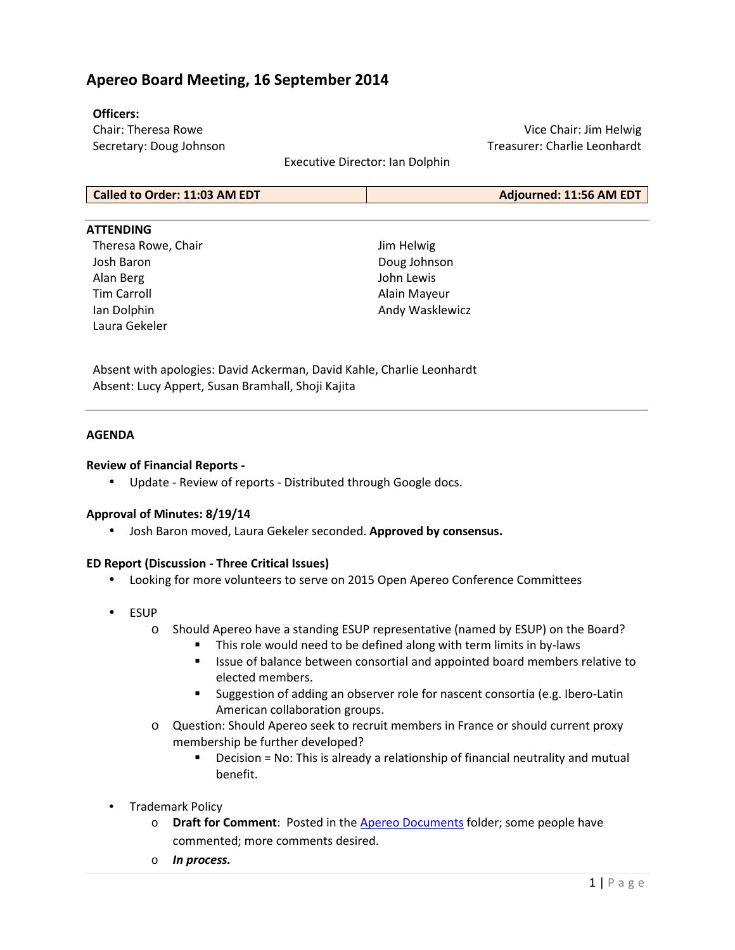# **Apereo Board Meeting, 16 September 2014**

#### **Officers:**

Chair: Theresa Rowe Secretary: Doug Johnson

Vice Chair: Jim Helwig Treasurer: Charlie Leonhardt

Executive Director: Ian Dolphin

#### **ATTENDING**

Theresa Rowe, Chair Josh Baron Alan Berg Tim Carroll Ian Dolphin Laura Gekeler

Jim Helwig Doug Johnson John Lewis Alain Mayeur Andy Wasklewicz

Absent with apologies: David Ackerman, David Kahle, Charlie Leonhardt Absent: Lucy Appert, Susan Bramhall, Shoji Kajita

#### **AGENDA**

#### **Review of Financial Reports -**

• Update - Review of reports - Distributed through Google docs.

## **Approval of Minutes: 8/19/14**

• Josh Baron moved, Laura Gekeler seconded. **Approved by consensus.**

## **ED Report (Discussion - Three Critical Issues)**

- Looking for more volunteers to serve on 2015 Open Apereo Conference Committees
- ESUP
	- o Should Apereo have a standing ESUP representative (named by ESUP) on the Board?
		- This role would need to be defined along with term limits in by-laws
		- Issue of balance between consortial and appointed board members relative to elected members.
		- Suggestion of adding an observer role for nascent consortia (e.g. Ibero-Latin American collaboration groups.
	- o Question: Should Apereo seek to recruit members in France or should current proxy membership be further developed?
		- Decision = No: This is already a relationship of financial neutrality and mutual benefit.
- Trademark Policy
	- o **Draft for Comment**: Posted in the Apereo Documents folder; some people have commented; more comments desired.
	- o *In process.*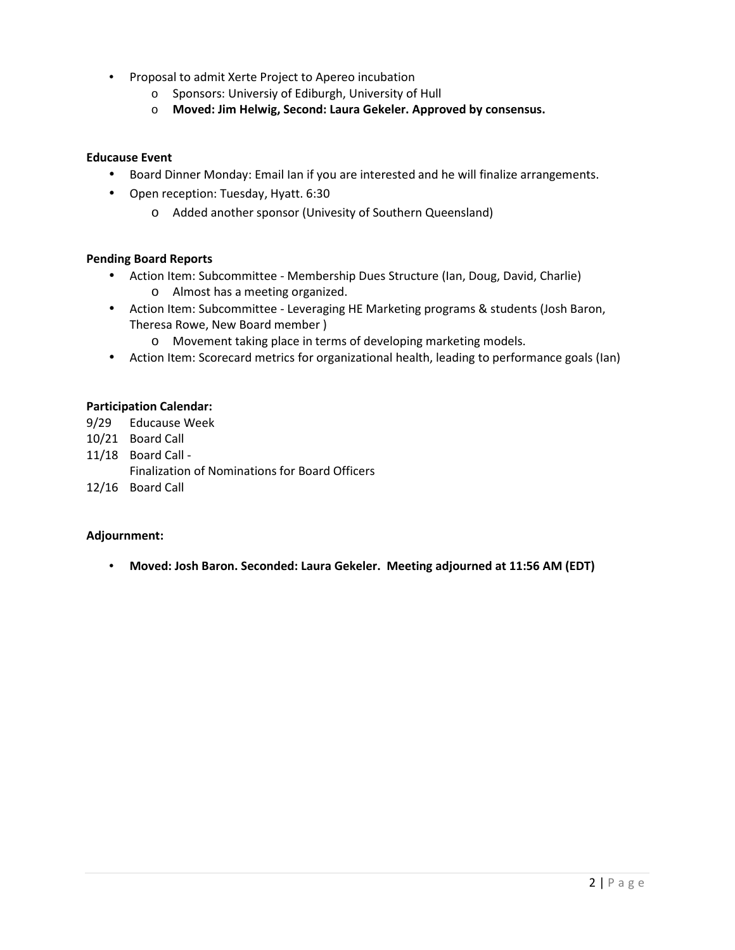- Proposal to admit Xerte Project to Apereo incubation
	- o Sponsors: Universiy of Ediburgh, University of Hull
	- o **Moved: Jim Helwig, Second: Laura Gekeler. Approved by consensus.**

## **Educause Event**

- Board Dinner Monday: Email Ian if you are interested and he will finalize arrangements.
- Open reception: Tuesday, Hyatt. 6:30
	- o Added another sponsor (Univesity of Southern Queensland)

## **Pending Board Reports**

- Action Item: Subcommittee Membership Dues Structure (Ian, Doug, David, Charlie) o Almost has a meeting organized.
- Action Item: Subcommittee Leveraging HE Marketing programs & students (Josh Baron, Theresa Rowe, New Board member )
	- o Movement taking place in terms of developing marketing models.
- Action Item: Scorecard metrics for organizational health, leading to performance goals (Ian)

## **Participation Calendar:**

- 9/29 Educause Week
- 10/21 Board Call
- 11/18 Board Call
	- Finalization of Nominations for Board Officers
- 12/16 Board Call

## **Adjournment:**

• **Moved: Josh Baron. Seconded: Laura Gekeler. Meeting adjourned at 11:56 AM (EDT)**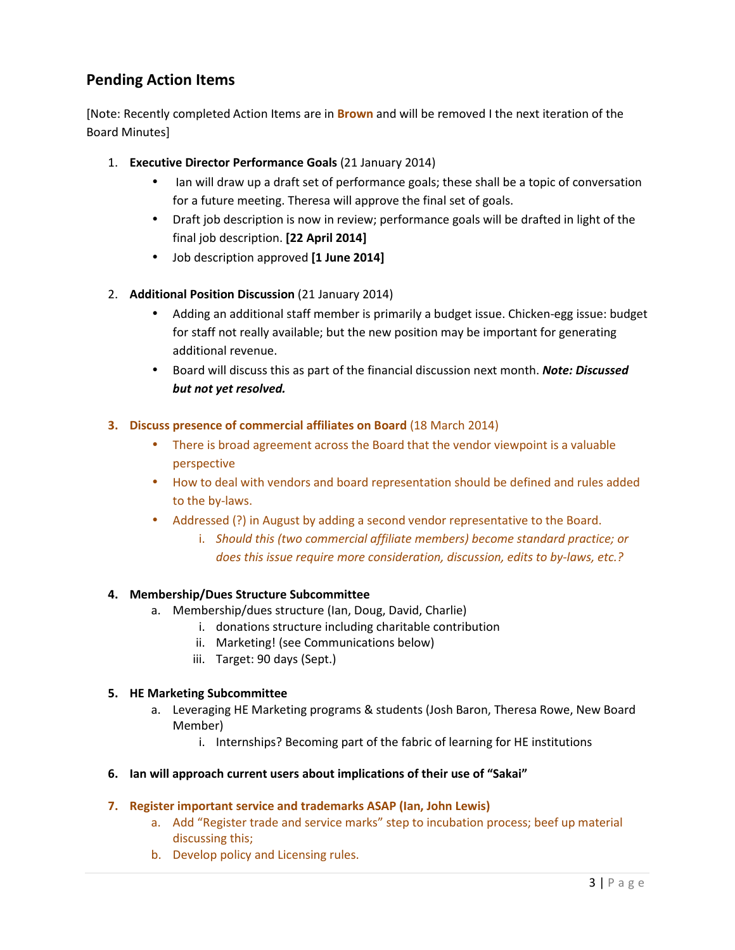# **Pending Action Items**

[Note: Recently completed Action Items are in **Brown** and will be removed I the next iteration of the Board Minutes]

- 1. **Executive Director Performance Goals** (21 January 2014)
	- Ian will draw up a draft set of performance goals; these shall be a topic of conversation for a future meeting. Theresa will approve the final set of goals.
	- Draft job description is now in review; performance goals will be drafted in light of the final job description. **[22 April 2014]**
	- Job description approved **[1 June 2014]**
- 2. **Additional Position Discussion** (21 January 2014)
	- Adding an additional staff member is primarily a budget issue. Chicken-egg issue: budget for staff not really available; but the new position may be important for generating additional revenue.
	- Board will discuss this as part of the financial discussion next month. *Note: Discussed but not yet resolved.*

# **3. Discuss presence of commercial affiliates on Board** (18 March 2014)

- There is broad agreement across the Board that the vendor viewpoint is a valuable perspective
- How to deal with vendors and board representation should be defined and rules added to the by-laws.
- Addressed (?) in August by adding a second vendor representative to the Board.
	- i. *Should this (two commercial affiliate members) become standard practice; or does this issue require more consideration, discussion, edits to by-laws, etc.?*

# **4. Membership/Dues Structure Subcommittee**

- a. Membership/dues structure (Ian, Doug, David, Charlie)
	- i. donations structure including charitable contribution
	- ii. Marketing! (see Communications below)
	- iii. Target: 90 days (Sept.)

# **5. HE Marketing Subcommittee**

- a. Leveraging HE Marketing programs & students (Josh Baron, Theresa Rowe, New Board Member)
	- i. Internships? Becoming part of the fabric of learning for HE institutions

# **6. Ian will approach current users about implications of their use of "Sakai"**

# **7. Register important service and trademarks ASAP (Ian, John Lewis)**

- a. Add "Register trade and service marks" step to incubation process; beef up material discussing this;
- b. Develop policy and Licensing rules.